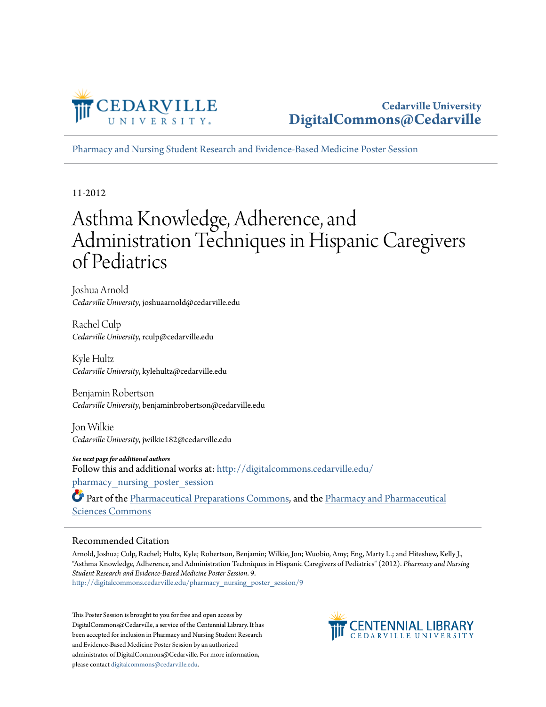

#### **Cedarville University [DigitalCommons@Cedarville](http://digitalcommons.cedarville.edu?utm_source=digitalcommons.cedarville.edu%2Fpharmacy_nursing_poster_session%2F9&utm_medium=PDF&utm_campaign=PDFCoverPages)**

[Pharmacy and Nursing Student Research and Evidence-Based Medicine Poster Session](http://digitalcommons.cedarville.edu/pharmacy_nursing_poster_session?utm_source=digitalcommons.cedarville.edu%2Fpharmacy_nursing_poster_session%2F9&utm_medium=PDF&utm_campaign=PDFCoverPages)

11-2012

### Asthma Knowledge, Adherence, and Administration Techniques in Hispanic Caregivers of Pediatrics

Joshua Arnold *Cedarville University*, joshuaarnold@cedarville.edu

Rachel Culp *Cedarville University*, rculp@cedarville.edu

Kyle Hultz *Cedarville University*, kylehultz@cedarville.edu

Benjamin Robertson *Cedarville University*, benjaminbrobertson@cedarville.edu

Jon Wilkie *Cedarville University*, jwilkie182@cedarville.edu

*See next page for additional authors* Follow this and additional works at: [http://digitalcommons.cedarville.edu/](http://digitalcommons.cedarville.edu/pharmacy_nursing_poster_session?utm_source=digitalcommons.cedarville.edu%2Fpharmacy_nursing_poster_session%2F9&utm_medium=PDF&utm_campaign=PDFCoverPages) pharmacy nursing poster session

Part of the [Pharmaceutical Preparations Commons](http://network.bepress.com/hgg/discipline/936?utm_source=digitalcommons.cedarville.edu%2Fpharmacy_nursing_poster_session%2F9&utm_medium=PDF&utm_campaign=PDFCoverPages), and the [Pharmacy and Pharmaceutical](http://network.bepress.com/hgg/discipline/731?utm_source=digitalcommons.cedarville.edu%2Fpharmacy_nursing_poster_session%2F9&utm_medium=PDF&utm_campaign=PDFCoverPages) [Sciences Commons](http://network.bepress.com/hgg/discipline/731?utm_source=digitalcommons.cedarville.edu%2Fpharmacy_nursing_poster_session%2F9&utm_medium=PDF&utm_campaign=PDFCoverPages)

#### Recommended Citation

Arnold, Joshua; Culp, Rachel; Hultz, Kyle; Robertson, Benjamin; Wilkie, Jon; Wuobio, Amy; Eng, Marty L.; and Hiteshew, Kelly J., "Asthma Knowledge, Adherence, and Administration Techniques in Hispanic Caregivers of Pediatrics" (2012). *Pharmacy and Nursing Student Research and Evidence-Based Medicine Poster Session*. 9. [http://digitalcommons.cedarville.edu/pharmacy\\_nursing\\_poster\\_session/9](http://digitalcommons.cedarville.edu/pharmacy_nursing_poster_session/9?utm_source=digitalcommons.cedarville.edu%2Fpharmacy_nursing_poster_session%2F9&utm_medium=PDF&utm_campaign=PDFCoverPages)

This Poster Session is brought to you for free and open access by DigitalCommons@Cedarville, a service of the Centennial Library. It has been accepted for inclusion in Pharmacy and Nursing Student Research and Evidence-Based Medicine Poster Session by an authorized administrator of DigitalCommons@Cedarville. For more information, please contact [digitalcommons@cedarville.edu.](mailto:digitalcommons@cedarville.edu)

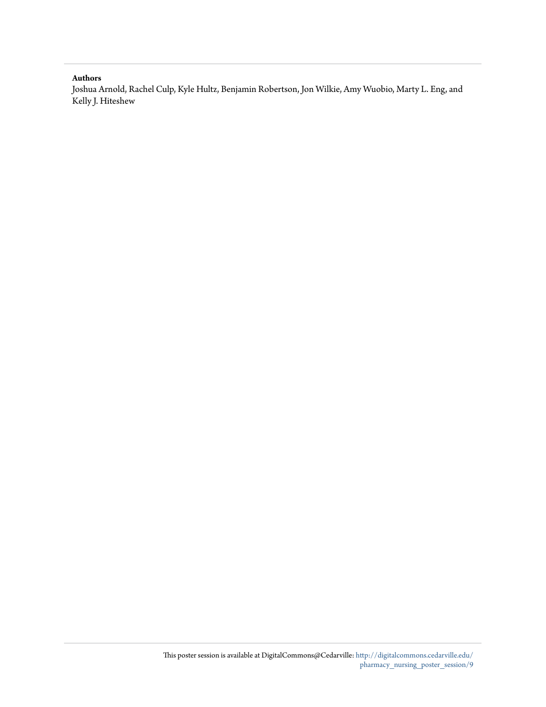#### **Authors**

Joshua Arnold, Rachel Culp, Kyle Hultz, Benjamin Robertson, Jon Wilkie, Amy Wuobio, Marty L. Eng, and Kelly J. Hiteshew